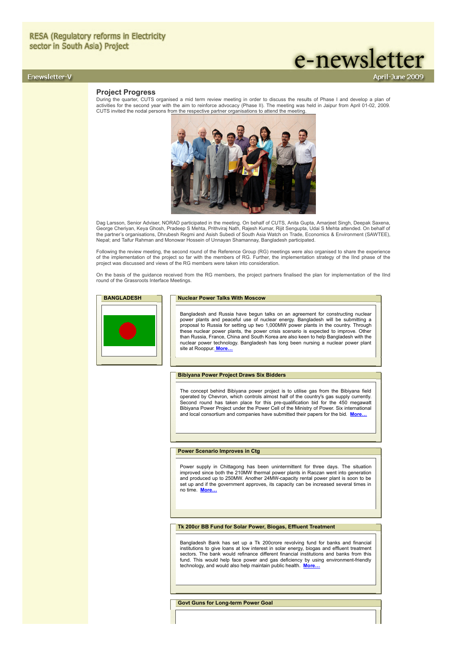# Enewsletter-V

# **Project Progress**

During the quarter, CUTS organised a mid term review meeting in order to discuss the results of Phase I and develop a plan of activities for the second year with the aim to reinforce advocacy (Phase II). The meeting was held in Jaipur from April 01-02, 2009. CUTS invited the nodal persons from the respective partner organisations to attend the meeting.

e-newsletter

pril-June 2009



Dag Larsson, Senior Adviser, NORAD participated in the meeting. On behalf of CUTS, Anita Gupta, Amarjeet Singh, Deepak Saxena, George Cheriyan, Keya Ghosh, Pradeep S Mehta, Prithviraj Nath, Rajesh Kumar, Rijit Sengupta, Udai S Mehta attended. On behalf of the partner's organisations, Dhrubesh Regmi and Asish Subedi of South Asia Watch on Trade, Economics & Environment (SAWTEE), Nepal; and Taifur Rahman and Monowar Hossein of Unnayan Shamannay, Bangladesh participated.

Following the review meeting, the second round of the Reference Group (RG) meetings were also organised to share the experience of the implementation of the project so far with the members of RG. Further, the implementation strategy of the IInd phase of the project was discussed and views of the RG members were taken into consideration.

On the basis of the guidance received from the RG members, the project partners finalised the plan for implementation of the IInd round of the Grassroots Interface Meetings.

# **BANGLADESH Nuclear Power Talks With Moscow**

Bangladesh and Russia have begun talks on an agreement for constructing nuclear power plants and peaceful use of nuclear energy. Bangladesh will be submitting a<br>proposal to Russia for setting up two 1,000MW power plants in the country. Through<br>these nuclear power plants, the power crisis scenario is e than Russia, France, China and South Korea are also keen to help Bangladesh with the nuclear power technology. Bangladesh has long been nursing a nuclear power plant site at Rooppur. **[More…](file:///D:/KSH/Websites/RESA/RESA-Enewsletter-V.htm#BAN1)**

## **Bibiyana Power Project Draws Six Bidders**

The concept behind Bibiyana power project is to utilise gas from the Bibiyana field operated by Chevron, which controls almost half of the country's gas supply currently. Second round has taken place for this pre-qualification bid for the 450 megawatt Bibiyana Power Project under the Power Cell of the Ministry of Power. Six international and local consortium and companies have submitted their papers for the bid. **[More…](file:///D:/KSH/Websites/RESA/RESA-Enewsletter-V.htm#BAN2)**

## **Power Scenario Improves in Ctg**

Power supply in Chittagong has been unintermittent for three days. The situation improved since both the 210MW thermal power plants in Raozan went into generation and produced up to 250MW. Another 24MW-capacity rental power plant is soon to be set up and if the government approves, its capacity can be increased several times in no time. **[More…](file:///D:/KSH/Websites/RESA/RESA-Enewsletter-V.htm#BAN3)**

## **Tk 200cr BB Fund for Solar Power, Biogas, Effluent Treatment**

Bangladesh Bank has set up a Tk 200crore revolving fund for banks and financial institutions to give loans at low interest in solar energy, biogas and effluent treatment sectors. The bank would refinance different financial institutions and banks from this fund. This would help face power and gas deficiency by using environment-friendly technology, and would also help maintain public health. **[More…](file:///D:/KSH/Websites/RESA/RESA-Enewsletter-V.htm#BAN4)**

**Govt Guns for Long-term Power Goal**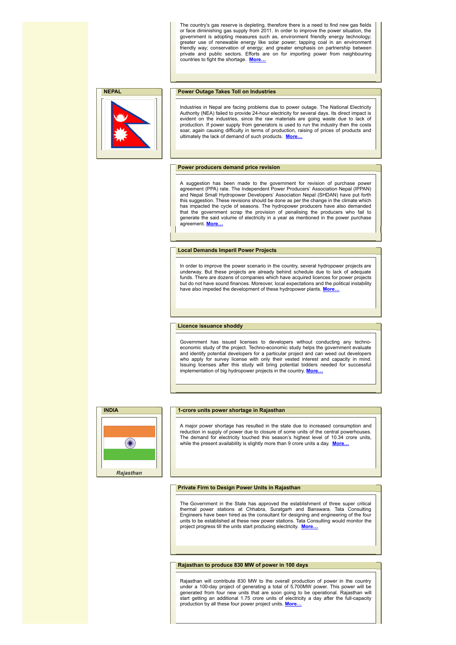The country's gas reserve is depleting, therefore there is a need to find new gas fields or face diminishing gas supply from 2011. In order to improve the power situation, the government is adopting measures such as, environment friendly energy technology; greater use of renewable energy like solar power; tapping coal in an environment friendly way; conservation of energy; and greater emphasis on partnership between private and public sectors. Efforts are on for importing power from neighbouring countries to fight the shortage. **[More…](file:///D:/KSH/Websites/RESA/RESA-Enewsletter-V.htm#BAN5)**



**NEPAL Power Outage Takes Toll on Industries** 

Industries in Nepal are facing problems due to power outage. The National Electricity Authority (NEA) failed to provide 24-hour electricity for several days. Its direct impact is evident on the industries, since the raw materials are going waste due to lack of production. If power supply from generators is used to run the industry then the costs soar, again causing difficulty in terms of production, raising of prices of products and ultimately the lack of demand of such products. **[More…](file:///D:/KSH/Websites/RESA/RESA-Enewsletter-V.htm#NEP1)**

## **Power producers demand price revision**

A suggestion has been made to the government for revision of purchase power agreement (PPA) rate. The Independent Power Producers' Association Nepal (IPPAN) and Nepal Small Hydropower Developers' Association Nepal (SHDAN) have put forth this suggestion. These revisions should be done as per the change in the climate which has impacted the cycle of seasons. The hydropower producers have also demanded that the government scrap the provision of penalising the producers who fail to generate the said volume of electricity in a year as mentioned in the power purchase agreement. **[More…](file:///D:/KSH/Websites/RESA/RESA-Enewsletter-V.htm#NEP2)**

## **Local Demands Imperil Power Projects**

In order to improve the power scenario in the country, several hydropower projects are underway. But these projects are already behind schedule due to lack of adequate funds. There are dozens of companies which have acquired licences for power projects but do not have sound finances. Moreover, local expectations and the political instability have also impeded the development of these hydropower plants. **[More…](file:///D:/KSH/Websites/RESA/RESA-Enewsletter-V.htm#NEP3)**

#### **Licence issuance shoddy**

Government has issued licenses to developers without conducting any technoeconomic study of the project. Techno-economic study helps the government evaluate and identify potential developers for a particular project and can weed out developers who apply for survey license with only their vested interest and capacity in mind. Issuing licenses after this study will bring potential bidders needed for successful implementation of big hydropower projects in the country. **[More…](file:///D:/KSH/Websites/RESA/RESA-Enewsletter-V.htm#NEP4)**



## **1-crore units power shortage in Rajasthan**

A major power shortage has resulted in the state due to increased consumption and reduction in supply of power due to closure of some units of the central powerhouses. The demand for electricity touched this season's highest level of 10.34 crore units, while the present availability is slightly more than 9 crore units a day. **More** 

### **Private Firm to Design Power Units in Rajasthan**

The Government in the State has approved the establishment of three super critical thermal power stations at Chhabra, Suratgarh and Banswara. Tata Consulting Engineers have been hired as the consultant for designing and engineering of the four units to be established at these new power stations. Tata Consulting would monitor the project progress till the units start producing electricity. **[More…](file:///D:/KSH/Websites/RESA/RESA-Enewsletter-V.htm#IND-R2)**

**Rajasthan to produce 830 MW of power in 100 days**

Rajasthan will contribute 830 MW to the overall production of power in the country under a 100-day project of generating a total of 5,700MW power. This power will be generated from four new units that are soon going to be operational. Rajasthan will start getting an additional 1.75 crore units of electricity a day after the full-capacity production by all these four power project units. **[More…](file:///D:/KSH/Websites/RESA/RESA-Enewsletter-V.htm#IND-R3)**